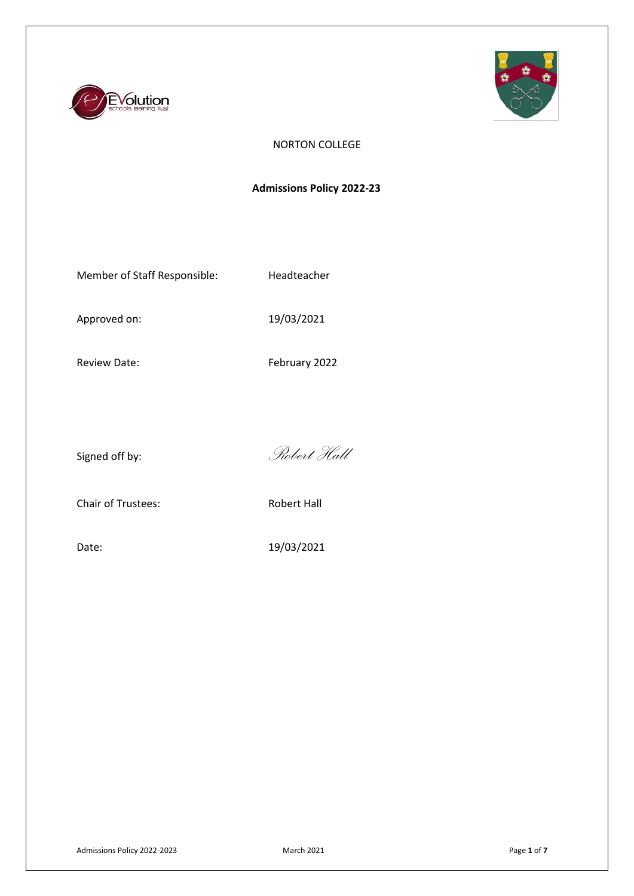



## NORTON COLLEGE

# **Admissions Policy 2022-23**

Member of Staff Responsible: Headteacher

Approved on: 19/03/2021

Review Date: February 2022

Signed off by: *Robert Hall*

Chair of Trustees: Robert Hall

Date: 19/03/2021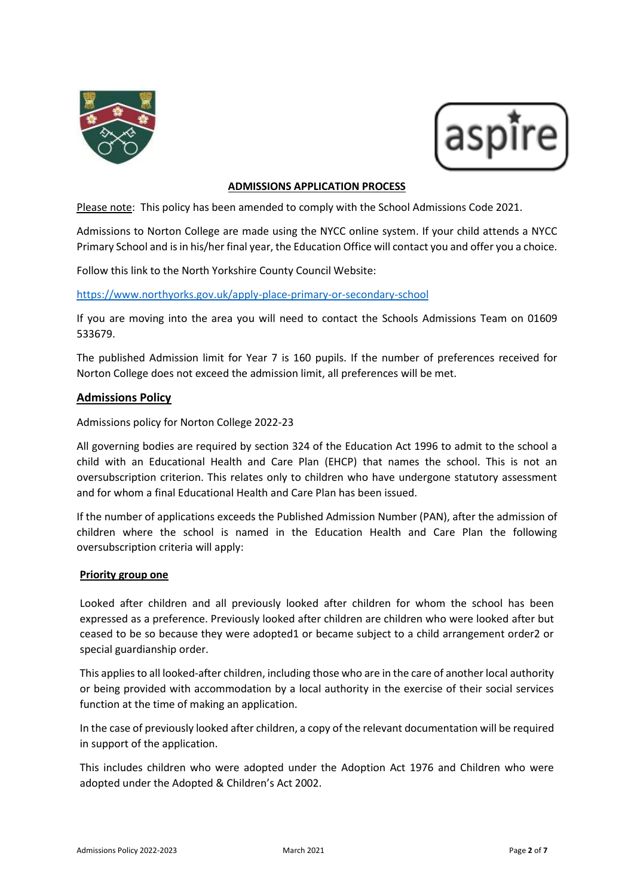



### **ADMISSIONS APPLICATION PROCESS**

Please note: This policy has been amended to comply with the School Admissions Code 2021.

Admissions to Norton College are made using the NYCC online system. If your child attends a NYCC Primary School and is in his/her final year, the Education Office will contact you and offer you a choice.

Follow this link to th[e North Yorkshire County Council Website:](http://www.northyorks.gov.uk/article/23539/School-admissions)

<https://www.northyorks.gov.uk/apply-place-primary-or-secondary-school>

If you are moving into the area you will need to contact the Schools Admissions Team on 01609 533679.

The published Admission limit for Year 7 is 160 pupils. If the number of preferences received for Norton College does not exceed the admission limit, all preferences will be met.

### **Admissions Policy**

Admissions policy for Norton College 2022-23

All governing bodies are required by section 324 of the Education Act 1996 to admit to the school a child with an Educational Health and Care Plan (EHCP) that names the school. This is not an oversubscription criterion. This relates only to children who have undergone statutory assessment and for whom a final Educational Health and Care Plan has been issued.

If the number of applications exceeds the Published Admission Number (PAN), after the admission of children where the school is named in the Education Health and Care Plan the following oversubscription criteria will apply:

### **Priority group one**

Looked after children and all previously looked after children for whom the school has been expressed as a preference. Previously looked after children are children who were looked after but ceased to be so because they were adopted1 or became subject to a child arrangement order2 or special guardianship order.

This applies to all looked-after children, including those who are in the care of another local authority or being provided with accommodation by a local authority in the exercise of their social services function at the time of making an application.

In the case of previously looked after children, a copy of the relevant documentation will be required in support of the application.

This includes children who were adopted under the Adoption Act 1976 and Children who were adopted under the Adopted & Children's Act 2002.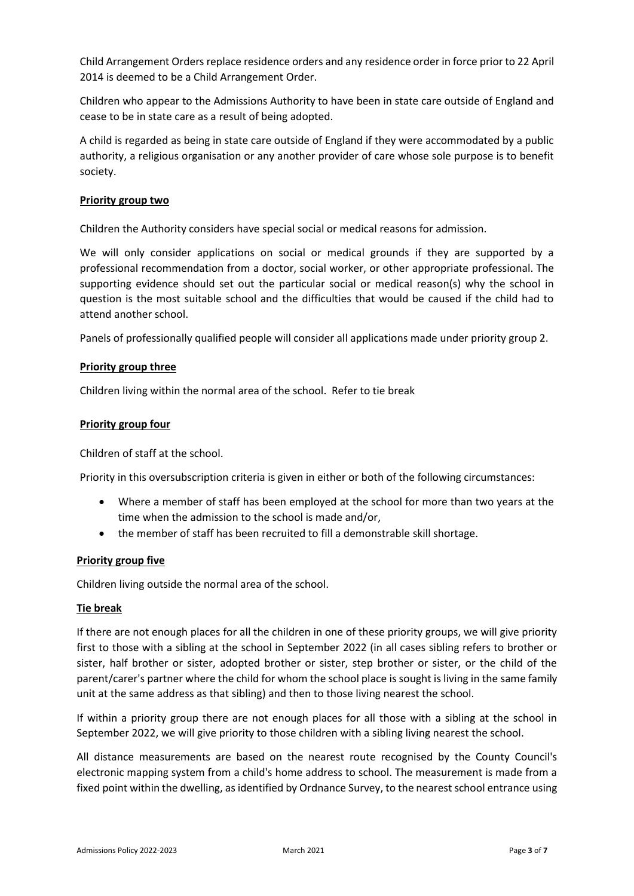Child Arrangement Orders replace residence orders and any residence order in force prior to 22 April 2014 is deemed to be a Child Arrangement Order.

Children who appear to the Admissions Authority to have been in state care outside of England and cease to be in state care as a result of being adopted.

A child is regarded as being in state care outside of England if they were accommodated by a public authority, a religious organisation or any another provider of care whose sole purpose is to benefit society.

### **Priority group two**

Children the Authority considers have special social or medical reasons for admission.

We will only consider applications on social or medical grounds if they are supported by a professional recommendation from a doctor, social worker, or other appropriate professional. The supporting evidence should set out the particular social or medical reason(s) why the school in question is the most suitable school and the difficulties that would be caused if the child had to attend another school.

Panels of professionally qualified people will consider all applications made under priority group 2.

### **Priority group three**

Children living within the normal area of the school. Refer to tie break

### **Priority group four**

Children of staff at the school.

Priority in this oversubscription criteria is given in either or both of the following circumstances:

- Where a member of staff has been employed at the school for more than two years at the time when the admission to the school is made and/or,
- the member of staff has been recruited to fill a demonstrable skill shortage.

### **Priority group five**

Children living outside the normal area of the school.

### **Tie break**

If there are not enough places for all the children in one of these priority groups, we will give priority first to those with a sibling at the school in September 2022 (in all cases sibling refers to brother or sister, half brother or sister, adopted brother or sister, step brother or sister, or the child of the parent/carer's partner where the child for whom the school place is sought is living in the same family unit at the same address as that sibling) and then to those living nearest the school.

If within a priority group there are not enough places for all those with a sibling at the school in September 2022, we will give priority to those children with a sibling living nearest the school.

All distance measurements are based on the nearest route recognised by the County Council's electronic mapping system from a child's home address to school. The measurement is made from a fixed point within the dwelling, as identified by Ordnance Survey, to the nearest school entrance using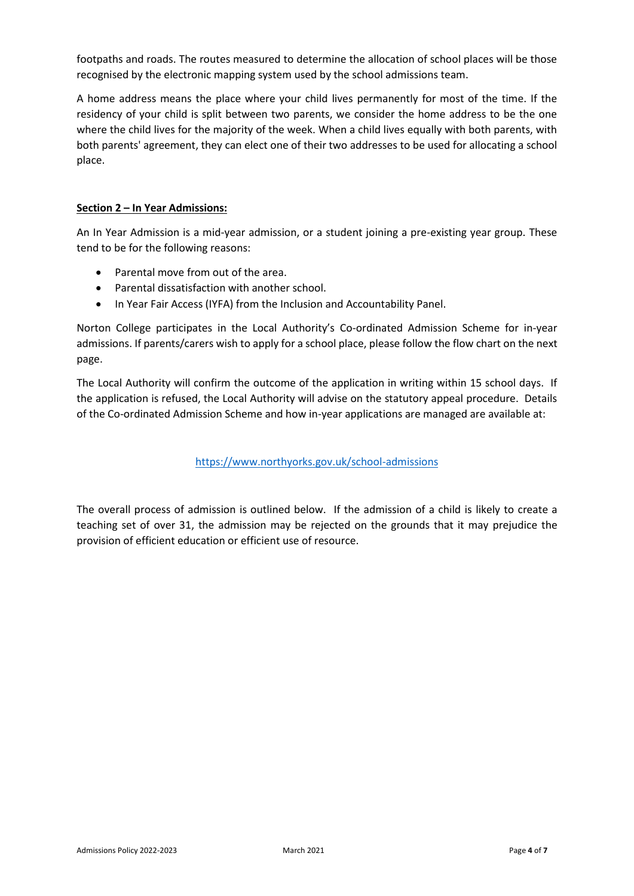footpaths and roads. The routes measured to determine the allocation of school places will be those recognised by the electronic mapping system used by the school admissions team.

A home address means the place where your child lives permanently for most of the time. If the residency of your child is split between two parents, we consider the home address to be the one where the child lives for the majority of the week. When a child lives equally with both parents, with both parents' agreement, they can elect one of their two addresses to be used for allocating a school place.

## **Section 2 – In Year Admissions:**

An In Year Admission is a mid-year admission, or a student joining a pre-existing year group. These tend to be for the following reasons:

- Parental move from out of the area.
- Parental dissatisfaction with another school.
- In Year Fair Access (IYFA) from the Inclusion and Accountability Panel.

Norton College participates in the Local Authority's Co-ordinated Admission Scheme for in-year admissions. If parents/carers wish to apply for a school place, please follow the flow chart on the next page.

The Local Authority will confirm the outcome of the application in writing within 15 school days. If the application is refused, the Local Authority will advise on the statutory appeal procedure. Details of the Co-ordinated Admission Scheme and how in-year applications are managed are available at:

<https://www.northyorks.gov.uk/school-admissions>

The overall process of admission is outlined below. If the admission of a child is likely to create a teaching set of over 31, the admission may be rejected on the grounds that it may prejudice the provision of efficient education or efficient use of resource.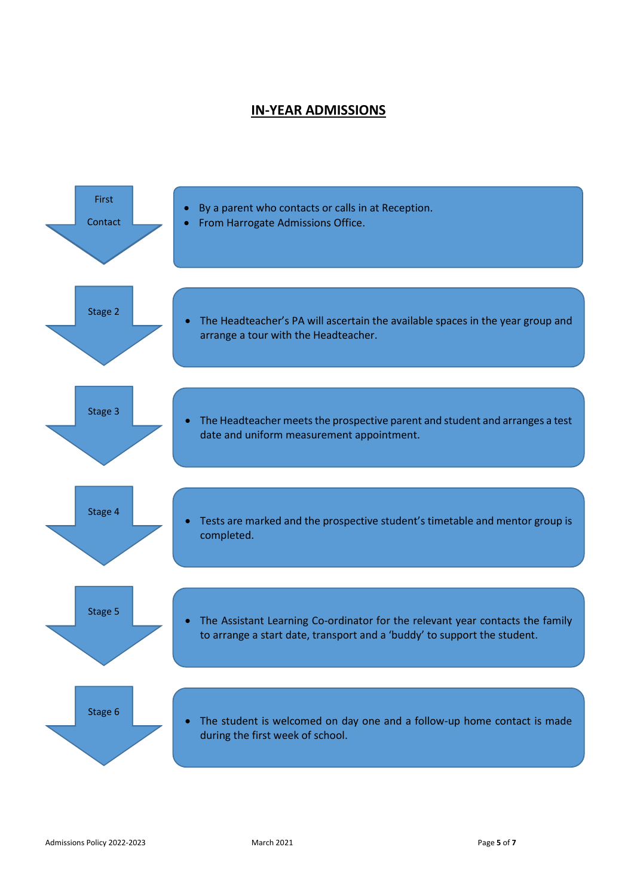# **IN-YEAR ADMISSIONS**

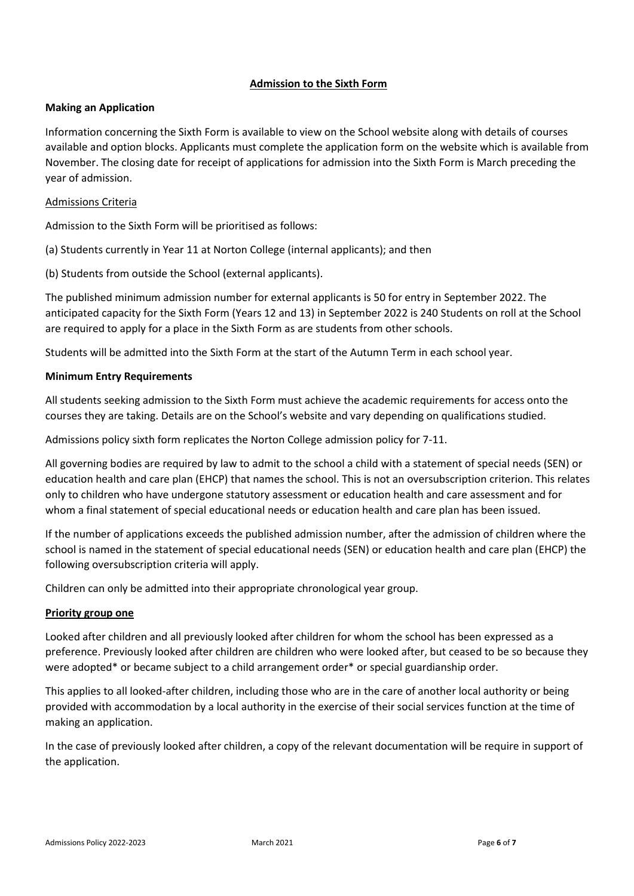## **Admission to the Sixth Form**

## **Making an Application**

Information concerning the Sixth Form is available to view on the School website along with details of courses available and option blocks. Applicants must complete the application form on the website which is available from November. The closing date for receipt of applications for admission into the Sixth Form is March preceding the year of admission.

### Admissions Criteria

Admission to the Sixth Form will be prioritised as follows:

(a) Students currently in Year 11 at Norton College (internal applicants); and then

(b) Students from outside the School (external applicants).

The published minimum admission number for external applicants is 50 for entry in September 2022. The anticipated capacity for the Sixth Form (Years 12 and 13) in September 2022 is 240 Students on roll at the School are required to apply for a place in the Sixth Form as are students from other schools.

Students will be admitted into the Sixth Form at the start of the Autumn Term in each school year.

### **Minimum Entry Requirements**

All students seeking admission to the Sixth Form must achieve the academic requirements for access onto the courses they are taking. Details are on the School's website and vary depending on qualifications studied.

Admissions policy sixth form replicates the Norton College admission policy for 7-11.

All governing bodies are required by law to admit to the school a child with a statement of special needs (SEN) or education health and care plan (EHCP) that names the school. This is not an oversubscription criterion. This relates only to children who have undergone statutory assessment or education health and care assessment and for whom a final statement of special educational needs or education health and care plan has been issued.

If the number of applications exceeds the published admission number, after the admission of children where the school is named in the statement of special educational needs (SEN) or education health and care plan (EHCP) the following oversubscription criteria will apply.

Children can only be admitted into their appropriate chronological year group.

### **Priority group one**

Looked after children and all previously looked after children for whom the school has been expressed as a preference. Previously looked after children are children who were looked after, but ceased to be so because they were adopted\* or became subject to a child arrangement order\* or special guardianship order.

This applies to all looked-after children, including those who are in the care of another local authority or being provided with accommodation by a local authority in the exercise of their social services function at the time of making an application.

In the case of previously looked after children, a copy of the relevant documentation will be require in support of the application.